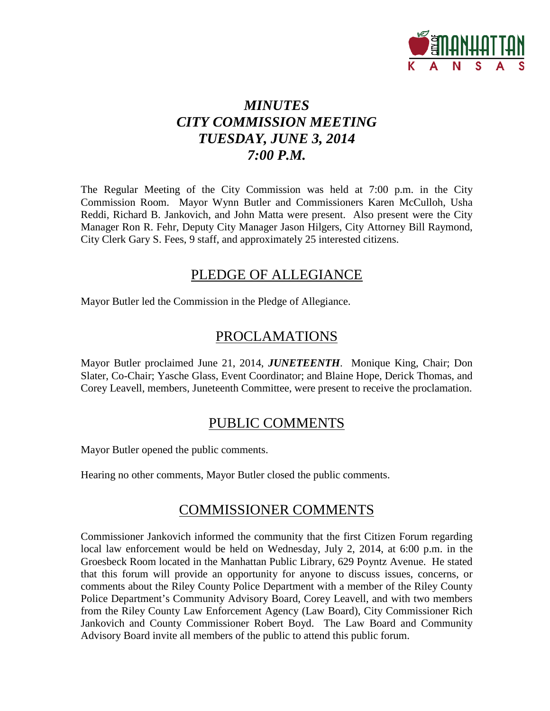

# *MINUTES CITY COMMISSION MEETING TUESDAY, JUNE 3, 2014 7:00 P.M.*

The Regular Meeting of the City Commission was held at 7:00 p.m. in the City Commission Room. Mayor Wynn Butler and Commissioners Karen McCulloh, Usha Reddi, Richard B. Jankovich, and John Matta were present. Also present were the City Manager Ron R. Fehr, Deputy City Manager Jason Hilgers, City Attorney Bill Raymond, City Clerk Gary S. Fees, 9 staff, and approximately 25 interested citizens.

## PLEDGE OF ALLEGIANCE

Mayor Butler led the Commission in the Pledge of Allegiance.

# PROCLAMATIONS

Mayor Butler proclaimed June 21, 2014, *JUNETEENTH*. Monique King, Chair; Don Slater, Co-Chair; Yasche Glass, Event Coordinator; and Blaine Hope, Derick Thomas, and Corey Leavell, members, Juneteenth Committee, were present to receive the proclamation.

## PUBLIC COMMENTS

Mayor Butler opened the public comments.

Hearing no other comments, Mayor Butler closed the public comments.

## COMMISSIONER COMMENTS

Commissioner Jankovich informed the community that the first Citizen Forum regarding local law enforcement would be held on Wednesday, July 2, 2014, at 6:00 p.m. in the Groesbeck Room located in the Manhattan Public Library, 629 Poyntz Avenue. He stated that this forum will provide an opportunity for anyone to discuss issues, concerns, or comments about the Riley County Police Department with a member of the Riley County Police Department's Community Advisory Board, Corey Leavell, and with two members from the Riley County Law Enforcement Agency (Law Board), City Commissioner Rich Jankovich and County Commissioner Robert Boyd. The Law Board and Community Advisory Board invite all members of the public to attend this public forum.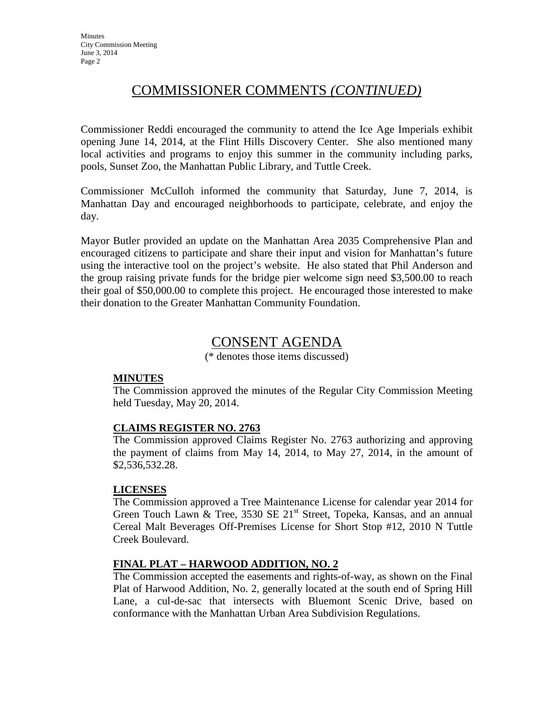## COMMISSIONER COMMENTS *(CONTINUED)*

Commissioner Reddi encouraged the community to attend the Ice Age Imperials exhibit opening June 14, 2014, at the Flint Hills Discovery Center. She also mentioned many local activities and programs to enjoy this summer in the community including parks, pools, Sunset Zoo, the Manhattan Public Library, and Tuttle Creek.

Commissioner McCulloh informed the community that Saturday, June 7, 2014, is Manhattan Day and encouraged neighborhoods to participate, celebrate, and enjoy the day.

Mayor Butler provided an update on the Manhattan Area 2035 Comprehensive Plan and encouraged citizens to participate and share their input and vision for Manhattan's future using the interactive tool on the project's website. He also stated that Phil Anderson and the group raising private funds for the bridge pier welcome sign need \$3,500.00 to reach their goal of \$50,000.00 to complete this project. He encouraged those interested to make their donation to the Greater Manhattan Community Foundation.

## CONSENT AGENDA

(\* denotes those items discussed)

### **MINUTES**

The Commission approved the minutes of the Regular City Commission Meeting held Tuesday, May 20, 2014.

### **CLAIMS REGISTER NO. 2763**

The Commission approved Claims Register No. 2763 authorizing and approving the payment of claims from May 14, 2014, to May 27, 2014, in the amount of \$2,536,532.28.

### **LICENSES**

The Commission approved a Tree Maintenance License for calendar year 2014 for Green Touch Lawn & Tree, 3530 SE  $21^{st}$  Street, Topeka, Kansas, and an annual Cereal Malt Beverages Off-Premises License for Short Stop #12, 2010 N Tuttle Creek Boulevard.

### **FINAL PLAT – HARWOOD ADDITION, NO. 2**

The Commission accepted the easements and rights-of-way, as shown on the Final Plat of Harwood Addition, No. 2, generally located at the south end of Spring Hill Lane, a cul-de-sac that intersects with Bluemont Scenic Drive, based on conformance with the Manhattan Urban Area Subdivision Regulations.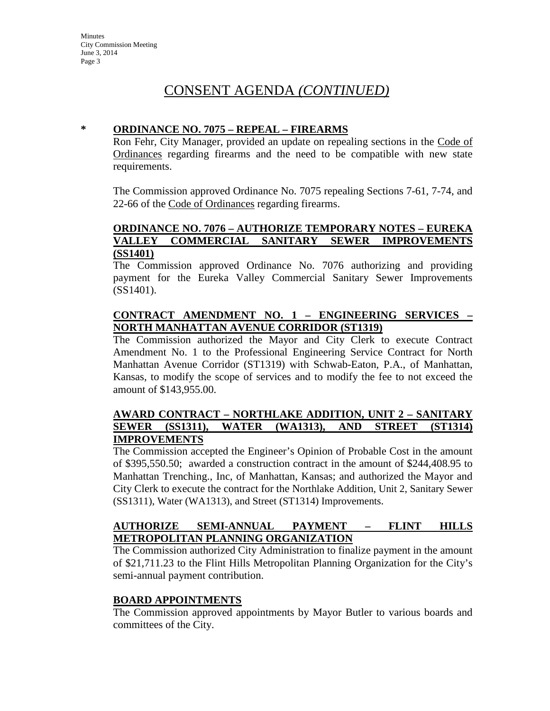## CONSENT AGENDA *(CONTINUED)*

### **\* ORDINANCE NO. 7075 – REPEAL – FIREARMS**

Ron Fehr, City Manager, provided an update on repealing sections in the Code of Ordinances regarding firearms and the need to be compatible with new state requirements.

The Commission approved Ordinance No. 7075 repealing Sections 7-61, 7-74, and 22-66 of the Code of Ordinances regarding firearms.

#### **ORDINANCE NO. 7076 – AUTHORIZE TEMPORARY NOTES – EUREKA VALLEY COMMERCIAL SANITARY SEWER IMPROVEMENTS (SS1401)**

The Commission approved Ordinance No. 7076 authorizing and providing payment for the Eureka Valley Commercial Sanitary Sewer Improvements (SS1401).

### **CONTRACT AMENDMENT NO. 1 – ENGINEERING SERVICES – NORTH MANHATTAN AVENUE CORRIDOR (ST1319)**

The Commission authorized the Mayor and City Clerk to execute Contract Amendment No. 1 to the Professional Engineering Service Contract for North Manhattan Avenue Corridor (ST1319) with Schwab-Eaton, P.A., of Manhattan, Kansas, to modify the scope of services and to modify the fee to not exceed the amount of \$143,955.00.

### **AWARD CONTRACT – NORTHLAKE ADDITION, UNIT 2 – SANITARY SEWER (SS1311), WATER (WA1313), AND STREET (ST1314) IMPROVEMENTS**

The Commission accepted the Engineer's Opinion of Probable Cost in the amount of \$395,550.50; awarded a construction contract in the amount of \$244,408.95 to Manhattan Trenching., Inc, of Manhattan, Kansas; and authorized the Mayor and City Clerk to execute the contract for the Northlake Addition, Unit 2, Sanitary Sewer (SS1311), Water (WA1313), and Street (ST1314) Improvements.

### **AUTHORIZE SEMI-ANNUAL PAYMENT – FLINT HILLS METROPOLITAN PLANNING ORGANIZATION**

The Commission authorized City Administration to finalize payment in the amount of \$21,711.23 to the Flint Hills Metropolitan Planning Organization for the City's semi-annual payment contribution.

#### **BOARD APPOINTMENTS**

The Commission approved appointments by Mayor Butler to various boards and committees of the City.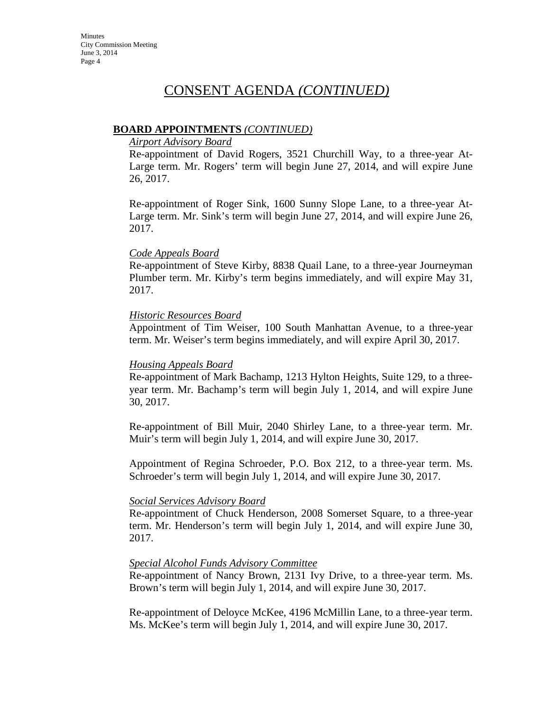## CONSENT AGENDA *(CONTINUED)*

### **BOARD APPOINTMENTS** *(CONTINUED)*

#### *Airport Advisory Board*

Re-appointment of David Rogers, 3521 Churchill Way, to a three-year At-Large term. Mr. Rogers' term will begin June 27, 2014, and will expire June 26, 2017.

Re-appointment of Roger Sink, 1600 Sunny Slope Lane, to a three-year At-Large term. Mr. Sink's term will begin June 27, 2014, and will expire June 26, 2017.

#### *Code Appeals Board*

Re-appointment of Steve Kirby, 8838 Quail Lane, to a three-year Journeyman Plumber term. Mr. Kirby's term begins immediately, and will expire May 31, 2017.

#### *Historic Resources Board*

Appointment of Tim Weiser, 100 South Manhattan Avenue, to a three-year term. Mr. Weiser's term begins immediately, and will expire April 30, 2017.

#### *Housing Appeals Board*

Re-appointment of Mark Bachamp, 1213 Hylton Heights, Suite 129, to a threeyear term. Mr. Bachamp's term will begin July 1, 2014, and will expire June 30, 2017.

Re-appointment of Bill Muir, 2040 Shirley Lane, to a three-year term. Mr. Muir's term will begin July 1, 2014, and will expire June 30, 2017.

Appointment of Regina Schroeder, P.O. Box 212, to a three-year term. Ms. Schroeder's term will begin July 1, 2014, and will expire June 30, 2017.

#### *Social Services Advisory Board*

Re-appointment of Chuck Henderson, 2008 Somerset Square, to a three-year term. Mr. Henderson's term will begin July 1, 2014, and will expire June 30, 2017.

#### *Special Alcohol Funds Advisory Committee*

Re-appointment of Nancy Brown, 2131 Ivy Drive, to a three-year term. Ms. Brown's term will begin July 1, 2014, and will expire June 30, 2017.

Re-appointment of Deloyce McKee, 4196 McMillin Lane, to a three-year term. Ms. McKee's term will begin July 1, 2014, and will expire June 30, 2017.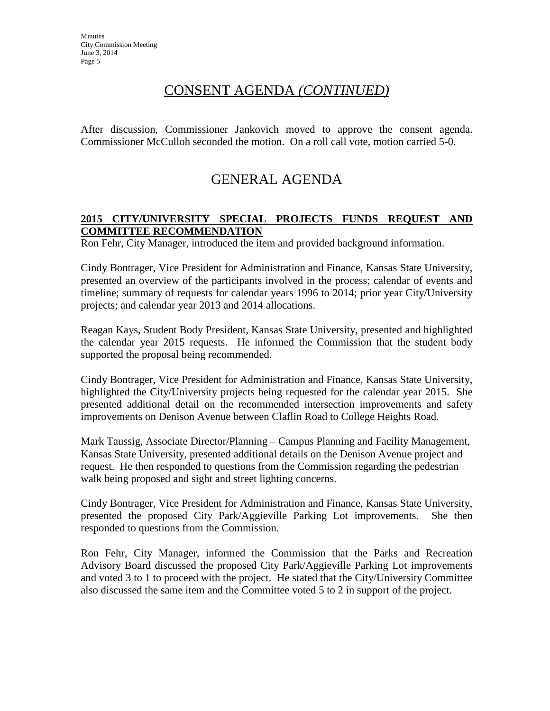## CONSENT AGENDA *(CONTINUED)*

After discussion, Commissioner Jankovich moved to approve the consent agenda. Commissioner McCulloh seconded the motion. On a roll call vote, motion carried 5-0.

# GENERAL AGENDA

### **2015 CITY/UNIVERSITY SPECIAL PROJECTS FUNDS REQUEST AND COMMITTEE RECOMMENDATION**

Ron Fehr, City Manager, introduced the item and provided background information.

Cindy Bontrager, Vice President for Administration and Finance, Kansas State University, presented an overview of the participants involved in the process; calendar of events and timeline; summary of requests for calendar years 1996 to 2014; prior year City/University projects; and calendar year 2013 and 2014 allocations.

Reagan Kays, Student Body President, Kansas State University, presented and highlighted the calendar year 2015 requests. He informed the Commission that the student body supported the proposal being recommended.

Cindy Bontrager, Vice President for Administration and Finance, Kansas State University, highlighted the City/University projects being requested for the calendar year 2015. She presented additional detail on the recommended intersection improvements and safety improvements on Denison Avenue between Claflin Road to College Heights Road.

Mark Taussig, Associate Director/Planning – Campus Planning and Facility Management, Kansas State University, presented additional details on the Denison Avenue project and request. He then responded to questions from the Commission regarding the pedestrian walk being proposed and sight and street lighting concerns.

Cindy Bontrager, Vice President for Administration and Finance, Kansas State University, presented the proposed City Park/Aggieville Parking Lot improvements. She then responded to questions from the Commission.

Ron Fehr, City Manager, informed the Commission that the Parks and Recreation Advisory Board discussed the proposed City Park/Aggieville Parking Lot improvements and voted 3 to 1 to proceed with the project. He stated that the City/University Committee also discussed the same item and the Committee voted 5 to 2 in support of the project.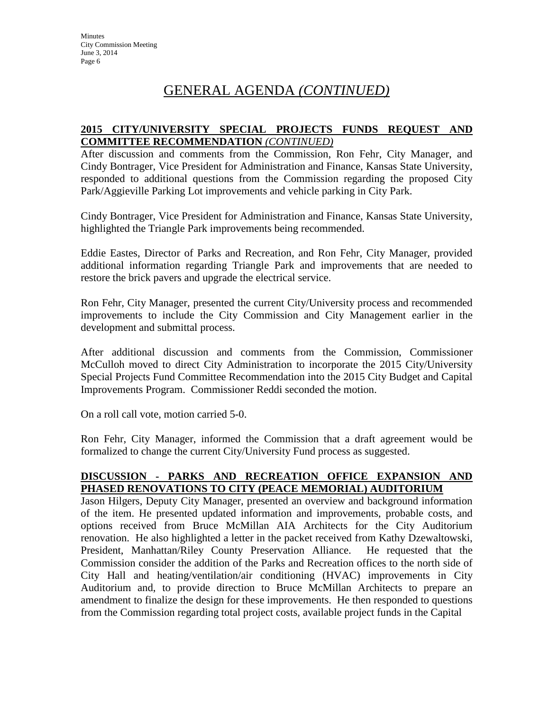## GENERAL AGENDA *(CONTINUED)*

### **2015 CITY/UNIVERSITY SPECIAL PROJECTS FUNDS REQUEST AND COMMITTEE RECOMMENDATION** *(CONTINUED)*

After discussion and comments from the Commission, Ron Fehr, City Manager, and Cindy Bontrager, Vice President for Administration and Finance, Kansas State University, responded to additional questions from the Commission regarding the proposed City Park/Aggieville Parking Lot improvements and vehicle parking in City Park.

Cindy Bontrager, Vice President for Administration and Finance, Kansas State University, highlighted the Triangle Park improvements being recommended.

Eddie Eastes, Director of Parks and Recreation, and Ron Fehr, City Manager, provided additional information regarding Triangle Park and improvements that are needed to restore the brick pavers and upgrade the electrical service.

Ron Fehr, City Manager, presented the current City/University process and recommended improvements to include the City Commission and City Management earlier in the development and submittal process.

After additional discussion and comments from the Commission, Commissioner McCulloh moved to direct City Administration to incorporate the 2015 City/University Special Projects Fund Committee Recommendation into the 2015 City Budget and Capital Improvements Program. Commissioner Reddi seconded the motion.

On a roll call vote, motion carried 5-0.

Ron Fehr, City Manager, informed the Commission that a draft agreement would be formalized to change the current City/University Fund process as suggested.

### **DISCUSSION - PARKS AND RECREATION OFFICE EXPANSION AND PHASED RENOVATIONS TO CITY (PEACE MEMORIAL) AUDITORIUM**

Jason Hilgers, Deputy City Manager, presented an overview and background information of the item. He presented updated information and improvements, probable costs, and options received from Bruce McMillan AIA Architects for the City Auditorium renovation. He also highlighted a letter in the packet received from Kathy Dzewaltowski, President, Manhattan/Riley County Preservation Alliance. He requested that the Commission consider the addition of the Parks and Recreation offices to the north side of City Hall and heating/ventilation/air conditioning (HVAC) improvements in City Auditorium and, to provide direction to Bruce McMillan Architects to prepare an amendment to finalize the design for these improvements. He then responded to questions from the Commission regarding total project costs, available project funds in the Capital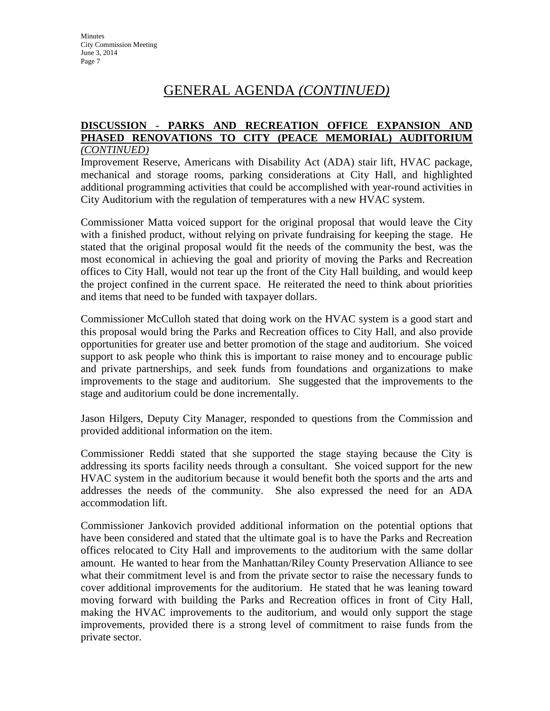## GENERAL AGENDA *(CONTINUED)*

#### **DISCUSSION - PARKS AND RECREATION OFFICE EXPANSION AND PHASED RENOVATIONS TO CITY (PEACE MEMORIAL) AUDITORIUM** *(CONTINUED)*

Improvement Reserve, Americans with Disability Act (ADA) stair lift, HVAC package, mechanical and storage rooms, parking considerations at City Hall, and highlighted additional programming activities that could be accomplished with year-round activities in City Auditorium with the regulation of temperatures with a new HVAC system.

Commissioner Matta voiced support for the original proposal that would leave the City with a finished product, without relying on private fundraising for keeping the stage. He stated that the original proposal would fit the needs of the community the best, was the most economical in achieving the goal and priority of moving the Parks and Recreation offices to City Hall, would not tear up the front of the City Hall building, and would keep the project confined in the current space. He reiterated the need to think about priorities and items that need to be funded with taxpayer dollars.

Commissioner McCulloh stated that doing work on the HVAC system is a good start and this proposal would bring the Parks and Recreation offices to City Hall, and also provide opportunities for greater use and better promotion of the stage and auditorium. She voiced support to ask people who think this is important to raise money and to encourage public and private partnerships, and seek funds from foundations and organizations to make improvements to the stage and auditorium. She suggested that the improvements to the stage and auditorium could be done incrementally.

Jason Hilgers, Deputy City Manager, responded to questions from the Commission and provided additional information on the item.

Commissioner Reddi stated that she supported the stage staying because the City is addressing its sports facility needs through a consultant. She voiced support for the new HVAC system in the auditorium because it would benefit both the sports and the arts and addresses the needs of the community. She also expressed the need for an ADA accommodation lift.

Commissioner Jankovich provided additional information on the potential options that have been considered and stated that the ultimate goal is to have the Parks and Recreation offices relocated to City Hall and improvements to the auditorium with the same dollar amount. He wanted to hear from the Manhattan/Riley County Preservation Alliance to see what their commitment level is and from the private sector to raise the necessary funds to cover additional improvements for the auditorium. He stated that he was leaning toward moving forward with building the Parks and Recreation offices in front of City Hall, making the HVAC improvements to the auditorium, and would only support the stage improvements, provided there is a strong level of commitment to raise funds from the private sector.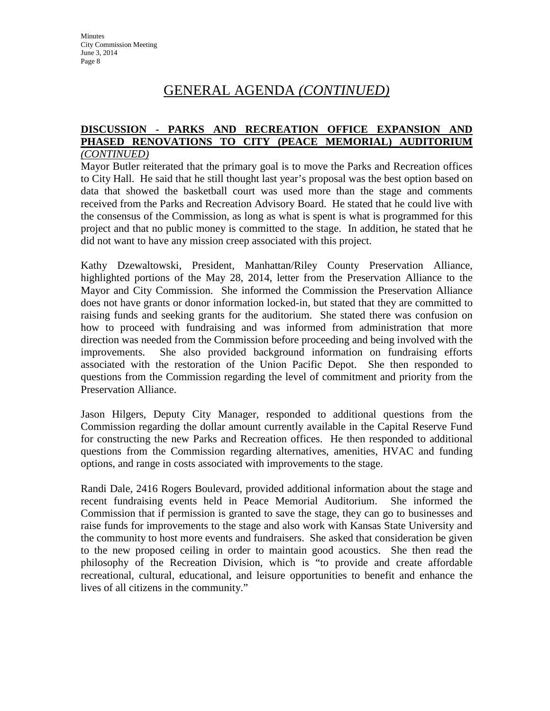## GENERAL AGENDA *(CONTINUED)*

#### **DISCUSSION - PARKS AND RECREATION OFFICE EXPANSION AND PHASED RENOVATIONS TO CITY (PEACE MEMORIAL) AUDITORIUM** *(CONTINUED)*

Mayor Butler reiterated that the primary goal is to move the Parks and Recreation offices to City Hall. He said that he still thought last year's proposal was the best option based on data that showed the basketball court was used more than the stage and comments received from the Parks and Recreation Advisory Board. He stated that he could live with the consensus of the Commission, as long as what is spent is what is programmed for this project and that no public money is committed to the stage. In addition, he stated that he did not want to have any mission creep associated with this project.

Kathy Dzewaltowski, President, Manhattan/Riley County Preservation Alliance, highlighted portions of the May 28, 2014, letter from the Preservation Alliance to the Mayor and City Commission. She informed the Commission the Preservation Alliance does not have grants or donor information locked-in, but stated that they are committed to raising funds and seeking grants for the auditorium. She stated there was confusion on how to proceed with fundraising and was informed from administration that more direction was needed from the Commission before proceeding and being involved with the improvements. She also provided background information on fundraising efforts associated with the restoration of the Union Pacific Depot. She then responded to questions from the Commission regarding the level of commitment and priority from the Preservation Alliance.

Jason Hilgers, Deputy City Manager, responded to additional questions from the Commission regarding the dollar amount currently available in the Capital Reserve Fund for constructing the new Parks and Recreation offices. He then responded to additional questions from the Commission regarding alternatives, amenities, HVAC and funding options, and range in costs associated with improvements to the stage.

Randi Dale, 2416 Rogers Boulevard, provided additional information about the stage and recent fundraising events held in Peace Memorial Auditorium. She informed the Commission that if permission is granted to save the stage, they can go to businesses and raise funds for improvements to the stage and also work with Kansas State University and the community to host more events and fundraisers. She asked that consideration be given to the new proposed ceiling in order to maintain good acoustics. She then read the philosophy of the Recreation Division, which is "to provide and create affordable recreational, cultural, educational, and leisure opportunities to benefit and enhance the lives of all citizens in the community."